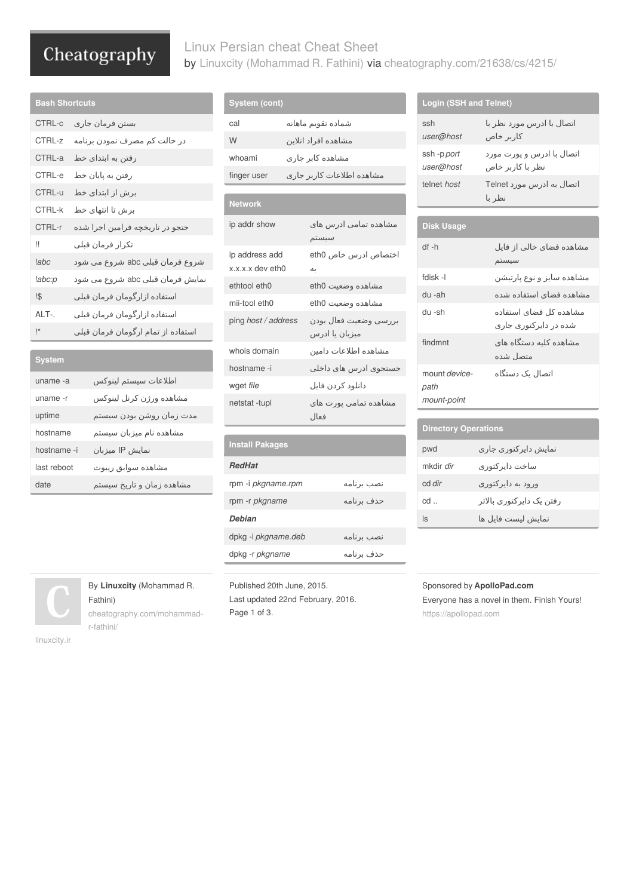# Cheatography

## Linux Persian cheat Cheat Sheet by Linuxcity [\(Mohammad](http://www.cheatography.com/mohammad-r-fathini/) R. Fathini) via [cheatography.com/21638/cs/4215/](http://www.cheatography.com/mohammad-r-fathini/cheat-sheets/linux-persian-cheat)

| <b>Bash Shortcuts</b> |                                               |
|-----------------------|-----------------------------------------------|
| CTRL-c                | بستن فرمان جارى                               |
| $CTRI - z$            | در حالت کم مصرف نمودن برنام <mark>ه</mark>    |
| CTRI -a               | رفتن به ابتدای خط                             |
| CTRL-e                | رفتن به پایان خط                              |
| CTRL-u                | برش از ابتدای خط                              |
| CTRI-k                | برش تا انتهای خط                              |
| CTRI-r                | جتجو در تاریخچه فرامین اجرا شد <mark>ه</mark> |
| !!                    | تكرار فرمان قبلي                              |
| labc                  | شروع فرمان قبلی abc شروع م <mark>ی</mark> شود |
| !abc:p                | نمایش فرمان قبلی abc شروع می شود              |
| !\$                   | استفاده ازارگومان فرمان قبلی                  |
| AI T-                 | استفاده ازارگومان فرمان قبلی                  |
| *                     | استفاده از تمام ارگومان فرمان قبلی            |

| System      |                           |
|-------------|---------------------------|
| uname -a    | اطلاعات سيستم لينوكس      |
| uname -r    | مشاهده ورژن كرنل لينوكس   |
| uptime      | مدت زمان روشن بودن سيستم  |
| hostname    | مشاهده نام میزبان سیستم   |
| hostname -i | نمایش IP میزبان           |
| last reboot | مشاهده سوابق ريبوت        |
| date        | مشاهده زمان و تاریخ سیستم |

# **System (cont)** شماده تقویم ماهانه cal مشاهده افراد انلاین W مشاهده کابر جاری whoami

مشاهده اطلاعات کاربر جاری finger user **Network** مشاهده تمامی ادرس های ip addr show سیستم ip address add x.x.x.x dev eth0 اختصاص ادرس خاص 0eth به ethtool eth0 eth0 وضعیت مشاهده mii-tool eth0 eth0 وضعیت مشاهده بررسی وضعیت فعال بودن *address / host* ping میزبان یا ادرس مشاهده اطلاعات دامین domain whois جستجوی ادرس های داخلی i- hostname دانلود کردن فایل *file* wget مشاهده تمامی پورت های netstat -tupl

| <b>Install Pakages</b> |            |
|------------------------|------------|
| <b>RedHat</b>          |            |
| rpm -i pkgname.rpm     | نصب برنامه |
| rpm -r <i>pkgname</i>  | حذف برنامه |
| <b>Debian</b>          |            |
| dpkg -i pkgname.deb    | نصب برنامه |
| dpkg -r pkgname        | حذف برنامه |

فعال

#### ssh *user@host* اتصال با ادرس مورد نظر با کاربر خاص ssh -p *port user@host* اتصال با ادرس و پورت مورد نظر با کاربر خاص اتصال به ادرس مورد Telnet *host* telnet نظر با **Disk Usage** مشاهده فضای خالی از فایل h- df سیستم مشاهده سایز و نوع پارتیشن l- fdisk مشاهده فضای استفاده شده ah- du مشاهده کل فضای استفاده sh- du

شده در دایرکتوری جاری

اتصال یک دستگاه

| path                        |                          |
|-----------------------------|--------------------------|
| mount-point                 |                          |
|                             |                          |
| <b>Directory Operations</b> |                          |
| pwd                         | نمایش دایر کتوری جاری    |
| mkdir dir                   | ساخت دایر کتور ی         |
| cd dir                      | ورود به دایر کتور ی      |
| cd.                         | رفتن یک دایرکتوری بالاتر |
| ls                          | نمايش ليست فايل ها       |

مشاهده کلیه دستگاه های findmnt متصل شده

mount *device-*

# **By Linuxc**

Fathini) [cheatography.com/mohammad](http://www.cheatography.com/mohammad-r-fathini/)r-fathini/

[linuxcity.ir](http://linuxcity.ir)

hed 20th June, 2015. Last updated 22nd February, 2016. Page 1 of 3.

#### Sponsored by **ApolloPad.com**

Everyone has a novel in them. Finish Yours! <https://apollopad.com>

#### **Login (SSH and Telnet)**

| مسامده رمان و تاری      | $\cdot$ products in the set of $\cdot$ |
|-------------------------|----------------------------------------|
|                         | rpm-r                                  |
|                         | Debia                                  |
|                         | dpkg -                                 |
|                         | dpkg -                                 |
|                         |                                        |
| <b>ity</b> (Mohammad R. | Publis                                 |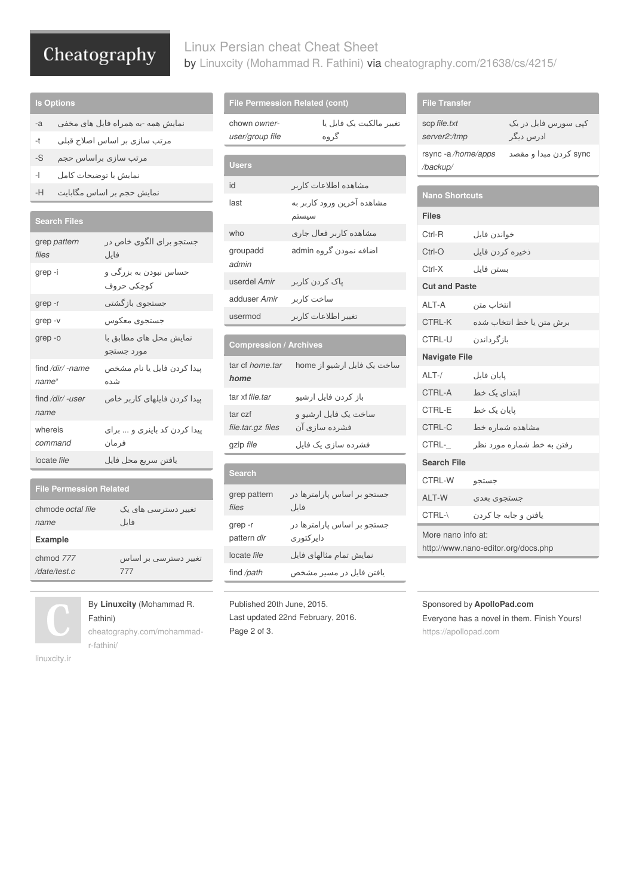# Cheatography

## Linux Persian cheat Cheat Sheet by Linuxcity [\(Mohammad](http://www.cheatography.com/mohammad-r-fathini/) R. Fathini) via [cheatography.com/21638/cs/4215/](http://www.cheatography.com/mohammad-r-fathini/cheat-sheets/linux-persian-cheat)

## **ls Options**

- نمایش همه -به همراه فایل های مخفی a-
- مرتب سازی بر اساس اصلاح قبلی t-
- مرتب سازی براساس حجم S-
- نمایش با توضیحات کامل l-
- نمایش حجم بر اساس مگابایت H-

### **Search Files**

| grep pattern<br>files     | جستجو برای الگوی خاص در<br>فايل                    |
|---------------------------|----------------------------------------------------|
| grep -i                   | حساس نبودن به بزرگی و<br>كوچكى حروف                |
| grep -r                   | جستجوى بازگشتي                                     |
| grep-v                    | جستجوى معكوس                                       |
| grep-o                    | نمایش محل های مطابق ب <mark>ا</mark><br>مورد جستجو |
| find /dir/ -name<br>name* | پیدا کردن فایل یا نام مشخص<br>شده                  |
| find /dir/ -user<br>name  | پیدا کردن فایلهای کاربر خاص                        |
| whereis<br>command        | پیدا کردن کد باینری و  برای<br>فرمان               |
| locate file               | يافتن سريع محل فايل                                |

#### **File Permession Related**

| chmode <i>octal file</i> | تغییر دسترسي های یک  |
|--------------------------|----------------------|
| name                     | فايل                 |
| <b>Example</b>           |                      |
| chmod 777                | تغییر دسترسي بر اساس |
| /date/test.c             | 777                  |



# By **Linuxcity** (Mohammad R. Fathini)

[cheatography.com/mohammad](http://www.cheatography.com/mohammad-r-fathini/)r-fathini/

[linuxcity.ir](http://linuxcity.ir)

#### **File Permession Related (cont)**

|                                 | <b>File Permession Related (cont)</b>   |
|---------------------------------|-----------------------------------------|
| chown owner-<br>user/group file | تغییر مالکیت یک فایل پا<br>گر وہ        |
|                                 |                                         |
| <b>Users</b>                    |                                         |
| id                              | مشاهده اطلاعات کاربر                    |
| last                            | مشاهده آخرین ورود کاربر به<br>سيستم     |
| who                             | مشاهده کاربر فعال جاری                  |
| groupadd<br>admin               | اضافه نمودن گروه admin                  |
| userdel Amir                    | پاک کردن کاربر                          |
| adduser Amir                    | ساخت کاربر                              |
| usermod                         | تغيير اطلاعات كاربر                     |
|                                 |                                         |
| <b>Compression / Archives</b>   |                                         |
| tar cf home.tar<br>home         | ساخت یک فایل ارشیو از home              |
| tar xf file, tar                | باز كردن فايل ارشيو                     |
| tar czf<br>file.tar.gz files    | ساخت یک فایل ارشیو و<br>فشرده سازی آن   |
| gzip file                       | فشرده سازی یک فایل                      |
|                                 |                                         |
| <b>Search</b>                   |                                         |
| grep pattern<br>files           | جستجو بر اساس پارامترها در<br>فايل      |
| grep-r<br>pattern dir           | جستجو بر اساس پارامترها در<br>دايركتوري |
| locate file                     | نمایش تمام مثالهای فایل                 |
| find /path                      | یافتن فایل در مسیر مشخص                 |

Published 20th June, 2015. Last updated 22nd February, 2016. Page 2 of 3.

| <b>File Transfer</b>                |                 |                                  |
|-------------------------------------|-----------------|----------------------------------|
| scp file.txt<br>server2:/tmp        |                 | کپي سورس فايل در يک<br>ادرس دیگر |
| rsync-a/home/apps<br>/backup/       |                 | sync کردن مبدا و مقصد            |
|                                     |                 |                                  |
| <b>Nano Shortcuts</b>               |                 |                                  |
| <b>Files</b>                        |                 |                                  |
| Ctrl-R                              | خواندن فايل     |                                  |
| Ctrl-O                              | ذخيره كردن فايل |                                  |
| Ctrl-X                              | بستن فايل       |                                  |
| <b>Cut and Paste</b>                |                 |                                  |
| ALT-A                               | انتخاب متن      |                                  |
| CTRL-K                              |                 | برش متن يا خظ انتخاب شده         |
| <b>CTRL-U</b>                       | باز گر داندن    |                                  |
| <b>Navigate File</b>                |                 |                                  |
| $ALT-$ /                            | بابان فابل      |                                  |
| CTRL-A                              | ابتدای یک خط    |                                  |
| CTRL-E                              | پایان یک خط     |                                  |
| CTRL-C                              |                 | مشاهده شماره خط                  |
| CTRL-                               |                 | رفتن به خط شماره مورد نظر        |
| <b>Search File</b>                  |                 |                                  |
| CTRL-W                              | جستجو           |                                  |
| ALT-W                               | جستجوى بعدى     |                                  |
| CTRL-\                              |                 | یافتن و جابه جا کردن             |
| More nano info at:                  |                 |                                  |
| http://www.nano-editor.org/docs.php |                 |                                  |

#### Sponsored by **ApolloPad.com**

Everyone has a novel in them. Finish Yours! <https://apollopad.com>